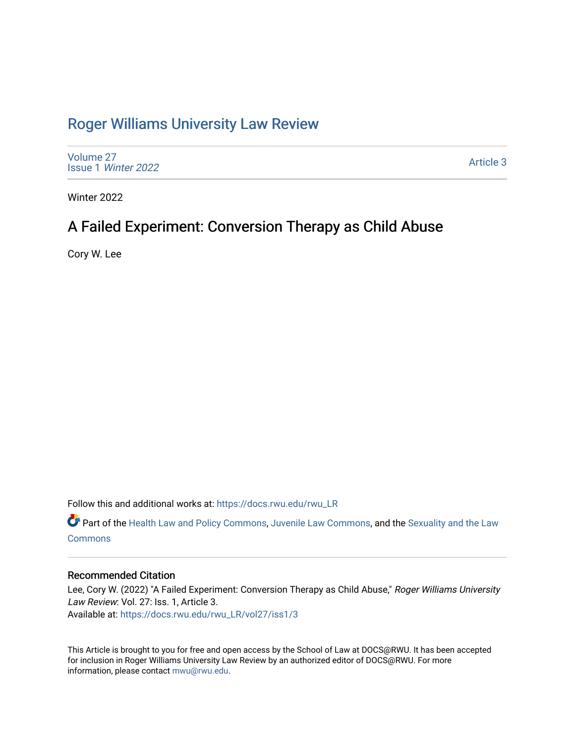## [Roger Williams University Law Review](https://docs.rwu.edu/rwu_LR)

[Volume 27](https://docs.rwu.edu/rwu_LR/vol27) Issue 1 [Winter 2022](https://docs.rwu.edu/rwu_LR/vol27/iss1) 

[Article 3](https://docs.rwu.edu/rwu_LR/vol27/iss1/3) 

Winter 2022

# A Failed Experiment: Conversion Therapy as Child Abuse

Cory W. Lee

Follow this and additional works at: [https://docs.rwu.edu/rwu\\_LR](https://docs.rwu.edu/rwu_LR?utm_source=docs.rwu.edu%2Frwu_LR%2Fvol27%2Fiss1%2F3&utm_medium=PDF&utm_campaign=PDFCoverPages) 

Part of the [Health Law and Policy Commons](http://network.bepress.com/hgg/discipline/901?utm_source=docs.rwu.edu%2Frwu_LR%2Fvol27%2Fiss1%2F3&utm_medium=PDF&utm_campaign=PDFCoverPages), [Juvenile Law Commons,](http://network.bepress.com/hgg/discipline/851?utm_source=docs.rwu.edu%2Frwu_LR%2Fvol27%2Fiss1%2F3&utm_medium=PDF&utm_campaign=PDFCoverPages) and the [Sexuality and the Law](http://network.bepress.com/hgg/discipline/877?utm_source=docs.rwu.edu%2Frwu_LR%2Fvol27%2Fiss1%2F3&utm_medium=PDF&utm_campaign=PDFCoverPages) **[Commons](http://network.bepress.com/hgg/discipline/877?utm_source=docs.rwu.edu%2Frwu_LR%2Fvol27%2Fiss1%2F3&utm_medium=PDF&utm_campaign=PDFCoverPages)** 

## Recommended Citation

Lee, Cory W. (2022) "A Failed Experiment: Conversion Therapy as Child Abuse," Roger Williams University Law Review: Vol. 27: Iss. 1, Article 3. Available at: [https://docs.rwu.edu/rwu\\_LR/vol27/iss1/3](https://docs.rwu.edu/rwu_LR/vol27/iss1/3?utm_source=docs.rwu.edu%2Frwu_LR%2Fvol27%2Fiss1%2F3&utm_medium=PDF&utm_campaign=PDFCoverPages) 

This Article is brought to you for free and open access by the School of Law at DOCS@RWU. It has been accepted for inclusion in Roger Williams University Law Review by an authorized editor of DOCS@RWU. For more information, please contact [mwu@rwu.edu](mailto:mwu@rwu.edu).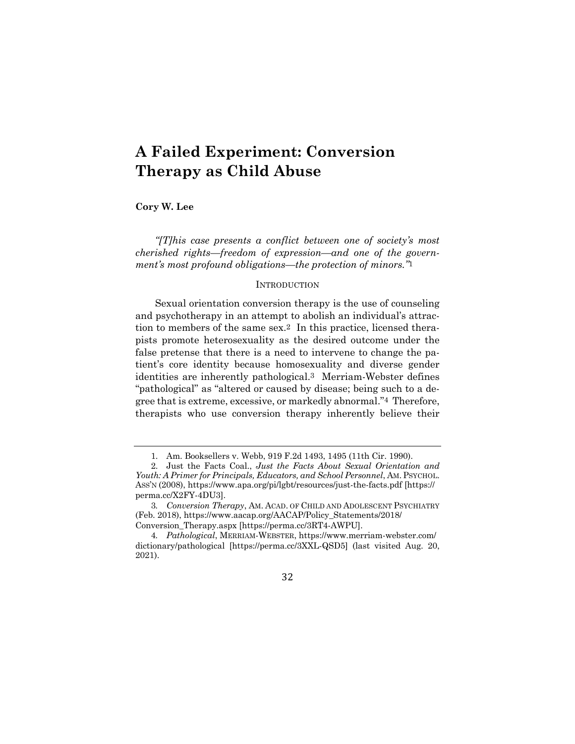# **A Failed Experiment: Conversion Therapy as Child Abuse**

**Cory W. Lee**

*"[T]his case presents a conflict between one of society's most cherished rights—freedom of expression—and one of the government's most profound obligations—the protection of minors."*1

### **INTRODUCTION**

Sexual orientation conversion therapy is the use of counseling and psychotherapy in an attempt to abolish an individual's attraction to members of the same sex.2 In this practice, licensed therapists promote heterosexuality as the desired outcome under the false pretense that there is a need to intervene to change the patient's core identity because homosexuality and diverse gender identities are inherently pathological.3 Merriam-Webster defines "pathological" as "altered or caused by disease; being such to a degree that is extreme, excessive, or markedly abnormal."4 Therefore, therapists who use conversion therapy inherently believe their

<sup>1.</sup> Am. Booksellers v. Webb, 919 F.2d 1493, 1495 (11th Cir. 1990).

<sup>2.</sup> Just the Facts Coal., *Just the Facts About Sexual Orientation and Youth: A Primer for Principals, Educators, and School Personnel*, AM.PSYCHOL. ASS'N (2008), https://www.apa.org/pi/lgbt/resources/just-the-facts.pdf [https:// perma.cc/X2FY-4DU3].

<sup>3</sup>*. Conversion Therapy*, AM. ACAD. OF CHILD AND ADOLESCENT PSYCHIATRY (Feb. 2018), https://www.aacap.org/AACAP/Policy\_Statements/2018/ Conversion\_Therapy.aspx [https://perma.cc/3RT4-AWPU].

<sup>4</sup>*. Pathological*, MERRIAM-WEBSTER, https://www.merriam-webster.com/ dictionary/pathological [https://perma.cc/3XXL-QSD5] (last visited Aug. 20, 2021).

<sup>32</sup>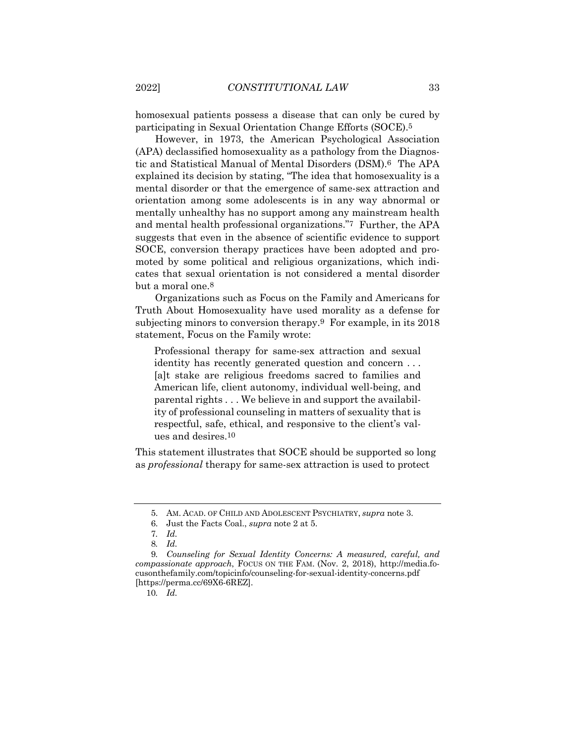homosexual patients possess a disease that can only be cured by participating in Sexual Orientation Change Efforts (SOCE).5

However, in 1973, the American Psychological Association (APA) declassified homosexuality as a pathology from the Diagnostic and Statistical Manual of Mental Disorders (DSM).6 The APA explained its decision by stating, "The idea that homosexuality is a mental disorder or that the emergence of same-sex attraction and orientation among some adolescents is in any way abnormal or mentally unhealthy has no support among any mainstream health and mental health professional organizations."7 Further, the APA suggests that even in the absence of scientific evidence to support SOCE, conversion therapy practices have been adopted and promoted by some political and religious organizations, which indicates that sexual orientation is not considered a mental disorder but a moral one.8

Organizations such as Focus on the Family and Americans for Truth About Homosexuality have used morality as a defense for subjecting minors to conversion therapy.9 For example, in its 2018 statement, Focus on the Family wrote:

Professional therapy for same-sex attraction and sexual identity has recently generated question and concern . . . [a]t stake are religious freedoms sacred to families and American life, client autonomy, individual well-being, and parental rights . . . We believe in and support the availability of professional counseling in matters of sexuality that is respectful, safe, ethical, and responsive to the client's values and desires.10

This statement illustrates that SOCE should be supported so long as *professional* therapy for same-sex attraction is used to protect

10*. Id.*

<sup>5.</sup> AM. ACAD. OF CHILD AND ADOLESCENT PSYCHIATRY, *supra* note 3.

<sup>6.</sup> Just the Facts Coal., *supra* note 2 at 5.

<sup>7</sup>*. Id.*

<sup>8</sup>*. Id.*

<sup>9</sup>*. Counseling for Sexual Identity Concerns: A measured, careful, and compassionate approach*, FOCUS ON THE FAM. (Nov. 2, 2018), http://media.focusonthefamily.com/topicinfo/counseling-for-sexual-identity-concerns.pdf [https://perma.cc/69X6-6REZ].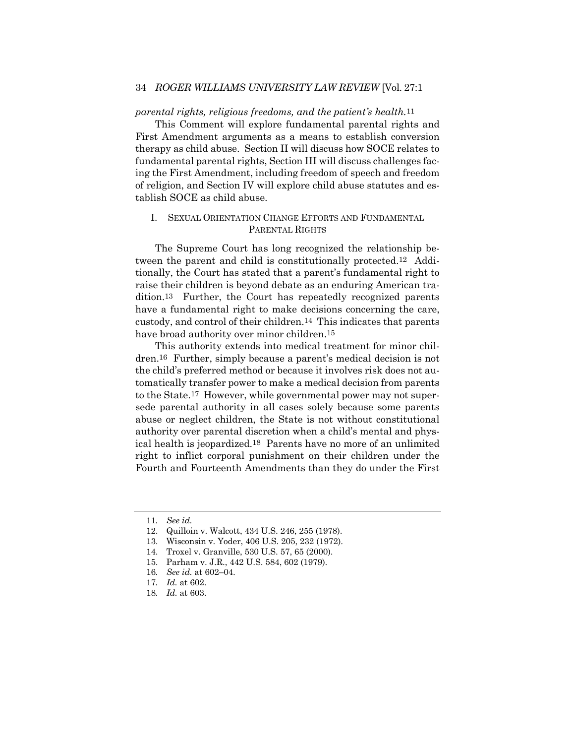## 34 *ROGER WILLIAMS UNIVERSITY LAW REVIEW* [Vol. 27:1

#### *parental rights, religious freedoms, and the patient's health.*11

This Comment will explore fundamental parental rights and First Amendment arguments as a means to establish conversion therapy as child abuse. Section II will discuss how SOCE relates to fundamental parental rights, Section III will discuss challenges facing the First Amendment, including freedom of speech and freedom of religion, and Section IV will explore child abuse statutes and establish SOCE as child abuse.

## I. SEXUAL ORIENTATION CHANGE EFFORTS AND FUNDAMENTAL PARENTAL RIGHTS

The Supreme Court has long recognized the relationship between the parent and child is constitutionally protected.12 Additionally, the Court has stated that a parent's fundamental right to raise their children is beyond debate as an enduring American tradition.13 Further, the Court has repeatedly recognized parents have a fundamental right to make decisions concerning the care, custody, and control of their children.14 This indicates that parents have broad authority over minor children.<sup>15</sup>

This authority extends into medical treatment for minor children.16 Further, simply because a parent's medical decision is not the child's preferred method or because it involves risk does not automatically transfer power to make a medical decision from parents to the State.17 However, while governmental power may not supersede parental authority in all cases solely because some parents abuse or neglect children, the State is not without constitutional authority over parental discretion when a child's mental and physical health is jeopardized.18 Parents have no more of an unlimited right to inflict corporal punishment on their children under the Fourth and Fourteenth Amendments than they do under the First

<sup>11</sup>*. See id.*

<sup>12.</sup> Quilloin v. Walcott, 434 U.S. 246, 255 (1978).

<sup>13.</sup> Wisconsin v. Yoder, 406 U.S. 205, 232 (1972).

<sup>14.</sup> Troxel v. Granville, 530 U.S. 57, 65 (2000).

<sup>15.</sup> Parham v. J.R., 442 U.S. 584, 602 (1979).

<sup>16</sup>*. See id.* at 602–04.

<sup>17</sup>*. Id.* at 602.

<sup>18</sup>*. Id.* at 603.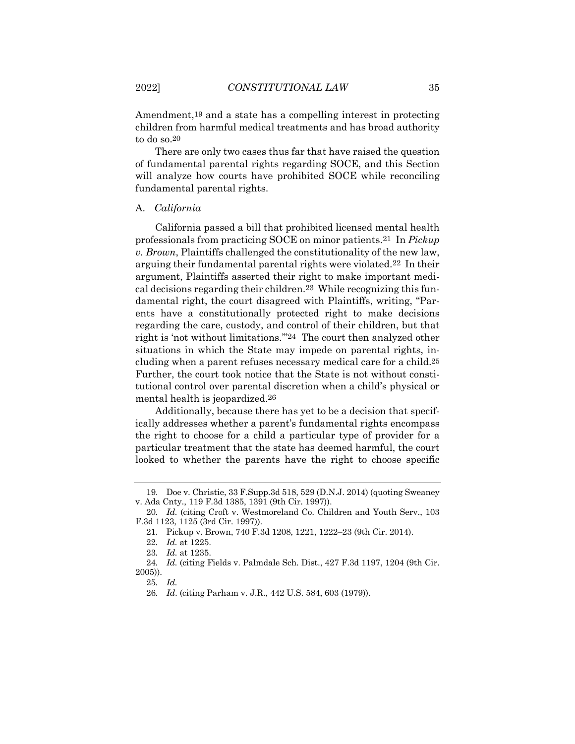Amendment,19 and a state has a compelling interest in protecting children from harmful medical treatments and has broad authority to do so.20

There are only two cases thus far that have raised the question of fundamental parental rights regarding SOCE, and this Section will analyze how courts have prohibited SOCE while reconciling fundamental parental rights.

## A. *California*

California passed a bill that prohibited licensed mental health professionals from practicing SOCE on minor patients.21 In *Pickup v. Brown*, Plaintiffs challenged the constitutionality of the new law, arguing their fundamental parental rights were violated.22 In their argument, Plaintiffs asserted their right to make important medical decisions regarding their children.23 While recognizing this fundamental right, the court disagreed with Plaintiffs, writing, "Parents have a constitutionally protected right to make decisions regarding the care, custody, and control of their children, but that right is 'not without limitations.'"24 The court then analyzed other situations in which the State may impede on parental rights, including when a parent refuses necessary medical care for a child.25 Further, the court took notice that the State is not without constitutional control over parental discretion when a child's physical or mental health is jeopardized.26

Additionally, because there has yet to be a decision that specifically addresses whether a parent's fundamental rights encompass the right to choose for a child a particular type of provider for a particular treatment that the state has deemed harmful, the court looked to whether the parents have the right to choose specific

<sup>19.</sup> Doe v. Christie, 33 F.Supp.3d 518, 529 (D.N.J. 2014) (quoting Sweaney v. Ada Cnty., 119 F.3d 1385, 1391 (9th Cir. 1997)).

<sup>20</sup>*. Id.* (citing Croft v. Westmoreland Co. Children and Youth Serv., 103 F.3d 1123, 1125 (3rd Cir. 1997)).

<sup>21.</sup> Pickup v. Brown, 740 F.3d 1208, 1221, 1222–23 (9th Cir. 2014).

<sup>22</sup>*. Id.* at 1225.

<sup>23</sup>*. Id.* at 1235.

<sup>24</sup>*. Id.* (citing Fields v. Palmdale Sch. Dist., 427 F.3d 1197, 1204 (9th Cir. 2005)).

<sup>25</sup>*. Id.*

<sup>26</sup>*. Id*. (citing Parham v. J.R., 442 U.S. 584, 603 (1979)).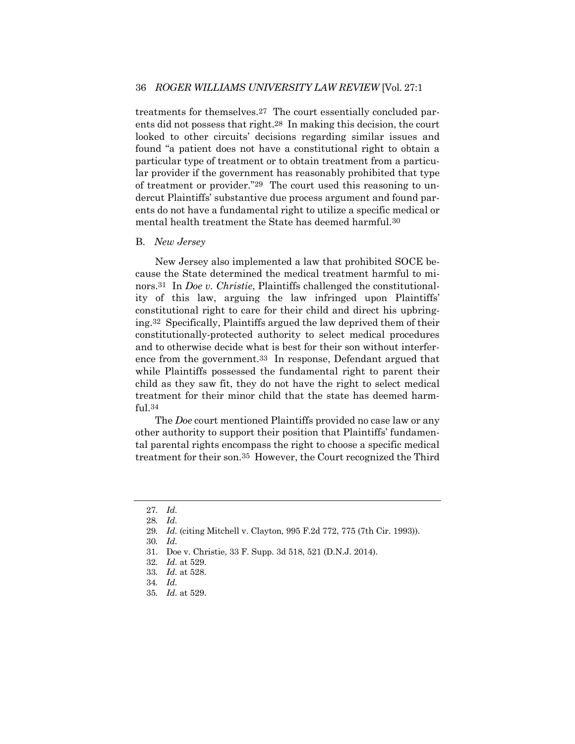treatments for themselves.27 The court essentially concluded parents did not possess that right.28 In making this decision, the court looked to other circuits' decisions regarding similar issues and found "a patient does not have a constitutional right to obtain a particular type of treatment or to obtain treatment from a particular provider if the government has reasonably prohibited that type of treatment or provider."29 The court used this reasoning to undercut Plaintiffs' substantive due process argument and found parents do not have a fundamental right to utilize a specific medical or mental health treatment the State has deemed harmful.30

#### B. *New Jersey*

New Jersey also implemented a law that prohibited SOCE because the State determined the medical treatment harmful to minors.31 In *Doe v. Christie*, Plaintiffs challenged the constitutionality of this law, arguing the law infringed upon Plaintiffs' constitutional right to care for their child and direct his upbringing.32 Specifically, Plaintiffs argued the law deprived them of their constitutionally-protected authority to select medical procedures and to otherwise decide what is best for their son without interference from the government.33 In response, Defendant argued that while Plaintiffs possessed the fundamental right to parent their child as they saw fit, they do not have the right to select medical treatment for their minor child that the state has deemed harmful.34

The *Doe* court mentioned Plaintiffs provided no case law or any other authority to support their position that Plaintiffs' fundamental parental rights encompass the right to choose a specific medical treatment for their son.35 However, the Court recognized the Third

35*. Id.* at 529.

<sup>27</sup>*. Id.*

<sup>28</sup>*. Id.*

<sup>29</sup>*. Id.* (citing Mitchell v. Clayton, 995 F.2d 772, 775 (7th Cir. 1993)).

<sup>30</sup>*. Id.*

<sup>31.</sup> Doe v. Christie, 33 F. Supp. 3d 518, 521 (D.N.J. 2014).

<sup>32</sup>*. Id.* at 529.

<sup>33</sup>*. Id.* at 528.

<sup>34</sup>*. Id.*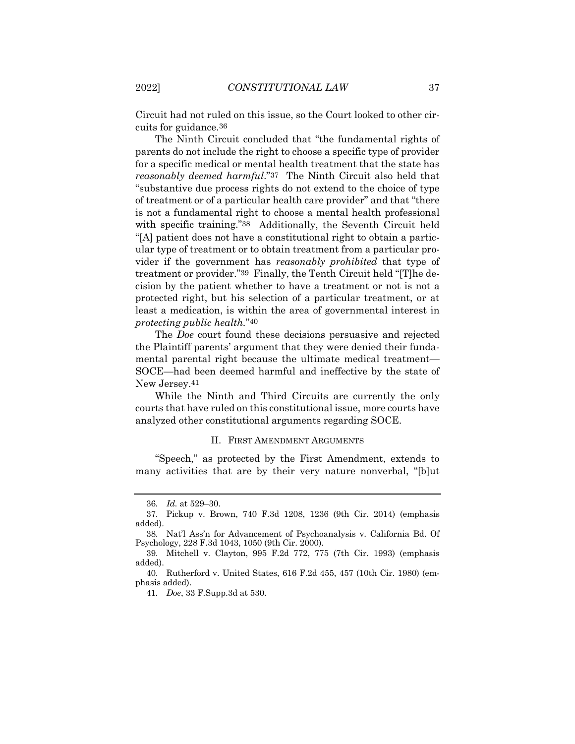Circuit had not ruled on this issue, so the Court looked to other circuits for guidance.36

The Ninth Circuit concluded that "the fundamental rights of parents do not include the right to choose a specific type of provider for a specific medical or mental health treatment that the state has *reasonably deemed harmful*."37 The Ninth Circuit also held that "substantive due process rights do not extend to the choice of type of treatment or of a particular health care provider" and that "there is not a fundamental right to choose a mental health professional with specific training."38 Additionally, the Seventh Circuit held "[A] patient does not have a constitutional right to obtain a particular type of treatment or to obtain treatment from a particular provider if the government has *reasonably prohibited* that type of treatment or provider."39 Finally, the Tenth Circuit held "[T]he decision by the patient whether to have a treatment or not is not a protected right, but his selection of a particular treatment, or at least a medication, is within the area of governmental interest in *protecting public health.*"40

The *Doe* court found these decisions persuasive and rejected the Plaintiff parents' argument that they were denied their fundamental parental right because the ultimate medical treatment— SOCE—had been deemed harmful and ineffective by the state of New Jersey.41

While the Ninth and Third Circuits are currently the only courts that have ruled on this constitutional issue, more courts have analyzed other constitutional arguments regarding SOCE.

#### II. FIRST AMENDMENT ARGUMENTS

"Speech," as protected by the First Amendment, extends to many activities that are by their very nature nonverbal, "[b]ut

41*. Doe*, 33 F.Supp.3d at 530.

<sup>36</sup>*. Id.* at 529–30.

<sup>37.</sup> Pickup v. Brown, 740 F.3d 1208, 1236 (9th Cir. 2014) (emphasis added).

<sup>38.</sup> Nat'l Ass'n for Advancement of Psychoanalysis v. California Bd. Of Psychology, 228 F.3d 1043, 1050 (9th Cir. 2000).

<sup>39.</sup> Mitchell v. Clayton, 995 F.2d 772, 775 (7th Cir. 1993) (emphasis added).

<sup>40.</sup> Rutherford v. United States, 616 F.2d 455, 457 (10th Cir. 1980) (emphasis added).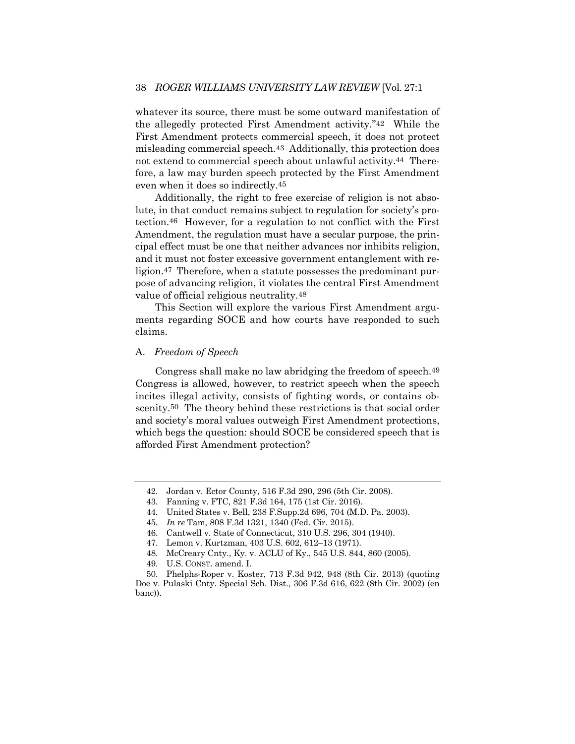whatever its source, there must be some outward manifestation of the allegedly protected First Amendment activity."42 While the First Amendment protects commercial speech, it does not protect misleading commercial speech.43 Additionally, this protection does not extend to commercial speech about unlawful activity.44 Therefore, a law may burden speech protected by the First Amendment even when it does so indirectly.45

Additionally, the right to free exercise of religion is not absolute, in that conduct remains subject to regulation for society's protection.46 However, for a regulation to not conflict with the First Amendment, the regulation must have a secular purpose, the principal effect must be one that neither advances nor inhibits religion, and it must not foster excessive government entanglement with religion.47 Therefore, when a statute possesses the predominant purpose of advancing religion, it violates the central First Amendment value of official religious neutrality.48

This Section will explore the various First Amendment arguments regarding SOCE and how courts have responded to such claims.

## A. *Freedom of Speech*

Congress shall make no law abridging the freedom of speech.49 Congress is allowed, however, to restrict speech when the speech incites illegal activity, consists of fighting words, or contains obscenity.<sup>50</sup> The theory behind these restrictions is that social order and society's moral values outweigh First Amendment protections, which begs the question: should SOCE be considered speech that is afforded First Amendment protection?

<sup>42.</sup> Jordan v. Ector County, 516 F.3d 290, 296 (5th Cir. 2008).

<sup>43.</sup> Fanning v. FTC, 821 F.3d 164, 175 (1st Cir. 2016).

<sup>44.</sup> United States v. Bell, 238 F.Supp.2d 696, 704 (M.D. Pa. 2003).

<sup>45</sup>*. In re* Tam, 808 F.3d 1321, 1340 (Fed. Cir. 2015).

<sup>46.</sup> Cantwell v. State of Connecticut, 310 U.S. 296, 304 (1940).

<sup>47.</sup> Lemon v. Kurtzman, 403 U.S. 602, 612–13 (1971).

<sup>48.</sup> McCreary Cnty., Ky. v. ACLU of Ky., 545 U.S. 844, 860 (2005).

<sup>49.</sup> U.S. CONST. amend. I.

<sup>50.</sup> Phelphs-Roper v. Koster, 713 F.3d 942, 948 (8th Cir. 2013) (quoting Doe v. Pulaski Cnty. Special Sch. Dist., 306 F.3d 616, 622 (8th Cir. 2002) (en banc)).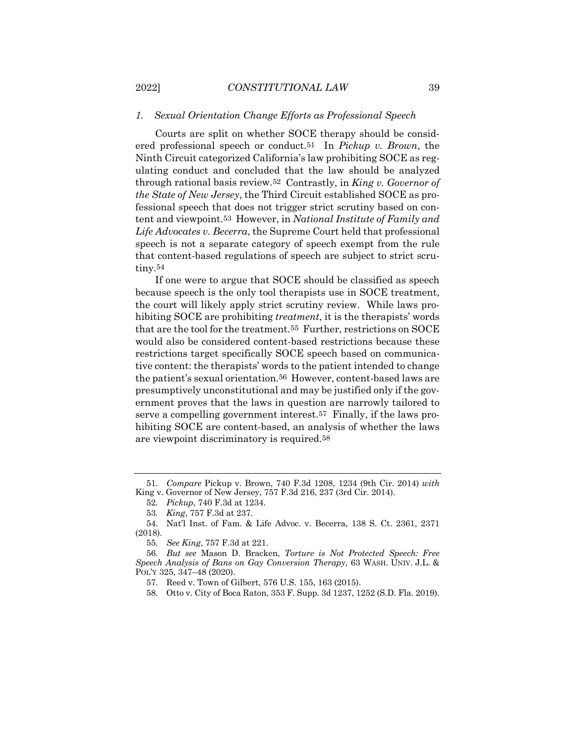## *1. Sexual Orientation Change Efforts as Professional Speech*

Courts are split on whether SOCE therapy should be considered professional speech or conduct.51 In *Pickup v. Brown*, the Ninth Circuit categorized California's law prohibiting SOCE as regulating conduct and concluded that the law should be analyzed through rational basis review.52 Contrastly, in *King v. Governor of the State of New Jersey*, the Third Circuit established SOCE as professional speech that does not trigger strict scrutiny based on content and viewpoint.53 However, in *National Institute of Family and Life Advocates v. Becerra*, the Supreme Court held that professional speech is not a separate category of speech exempt from the rule that content-based regulations of speech are subject to strict scrutiny.54

If one were to argue that SOCE should be classified as speech because speech is the only tool therapists use in SOCE treatment, the court will likely apply strict scrutiny review. While laws prohibiting SOCE are prohibiting *treatment*, it is the therapists' words that are the tool for the treatment.55 Further, restrictions on SOCE would also be considered content-based restrictions because these restrictions target specifically SOCE speech based on communicative content: the therapists' words to the patient intended to change the patient's sexual orientation.56 However, content-based laws are presumptively unconstitutional and may be justified only if the government proves that the laws in question are narrowly tailored to serve a compelling government interest.57 Finally, if the laws prohibiting SOCE are content-based, an analysis of whether the laws are viewpoint discriminatory is required.58

<sup>51</sup>*. Compare* Pickup v. Brown, 740 F.3d 1208, 1234 (9th Cir. 2014) *with* King v. Governor of New Jersey, 757 F.3d 216, 237 (3rd Cir. 2014).

<sup>52</sup>*. Pickup*, 740 F.3d at 1234.

<sup>53</sup>*. King*, 757 F.3d at 237.

<sup>54.</sup> Nat'l Inst. of Fam. & Life Advoc. v. Becerra, 138 S. Ct. 2361, 2371 (2018).

<sup>55</sup>*. See King*, 757 F.3d at 221.

<sup>56</sup>*. But see* Mason D. Bracken, *Torture is Not Protected Speech: Free Speech Analysis of Bans on Gay Conversion Therapy*, 63 WASH. UNIV. J.L. & POL'Y 325, 347–48 (2020).

<sup>57.</sup> Reed v. Town of Gilbert, 576 U.S. 155, 163 (2015).

<sup>58.</sup> Otto v. City of Boca Raton, 353 F. Supp. 3d 1237, 1252 (S.D. Fla. 2019).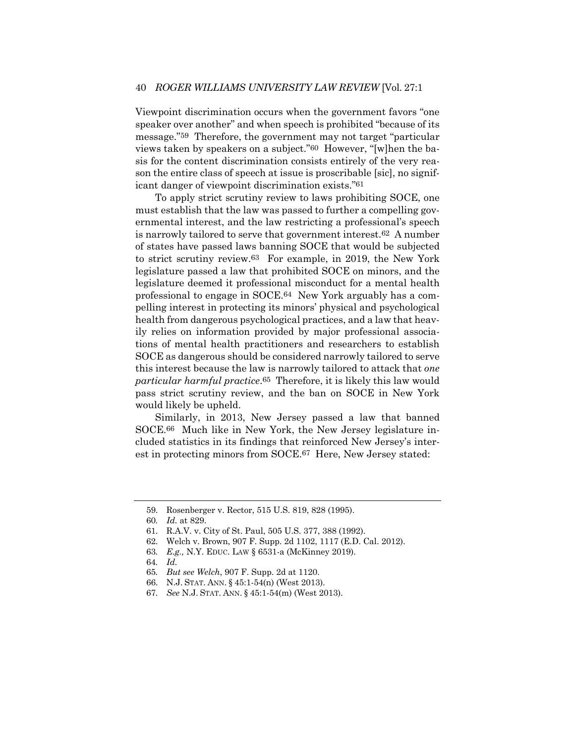Viewpoint discrimination occurs when the government favors "one speaker over another" and when speech is prohibited "because of its message."59 Therefore, the government may not target "particular views taken by speakers on a subject."60 However, "[w]hen the basis for the content discrimination consists entirely of the very reason the entire class of speech at issue is proscribable [sic], no significant danger of viewpoint discrimination exists."61

To apply strict scrutiny review to laws prohibiting SOCE, one must establish that the law was passed to further a compelling governmental interest, and the law restricting a professional's speech is narrowly tailored to serve that government interest.62 A number of states have passed laws banning SOCE that would be subjected to strict scrutiny review.63 For example, in 2019, the New York legislature passed a law that prohibited SOCE on minors, and the legislature deemed it professional misconduct for a mental health professional to engage in SOCE.64 New York arguably has a compelling interest in protecting its minors' physical and psychological health from dangerous psychological practices, and a law that heavily relies on information provided by major professional associations of mental health practitioners and researchers to establish SOCE as dangerous should be considered narrowly tailored to serve this interest because the law is narrowly tailored to attack that *one particular harmful practice*.65 Therefore, it is likely this law would pass strict scrutiny review, and the ban on SOCE in New York would likely be upheld.

Similarly, in 2013, New Jersey passed a law that banned SOCE.66 Much like in New York, the New Jersey legislature included statistics in its findings that reinforced New Jersey's interest in protecting minors from SOCE.67 Here, New Jersey stated:

- 64*. Id.*
- 65*. But see Welch*, 907 F. Supp. 2d at 1120.
- 66. N.J. STAT. ANN. § 45:1-54(n) (West 2013).
- 67*. See* N.J. STAT. ANN. § 45:1-54(m) (West 2013).

<sup>59.</sup> Rosenberger v. Rector, 515 U.S. 819, 828 (1995).

<sup>60</sup>*. Id.* at 829.

<sup>61.</sup> R.A.V. v. City of St. Paul, 505 U.S. 377, 388 (1992).

<sup>62.</sup> Welch v. Brown, 907 F. Supp. 2d 1102, 1117 (E.D. Cal. 2012).

<sup>63</sup>*. E.g.,* N.Y. EDUC. LAW § 6531-a (McKinney 2019).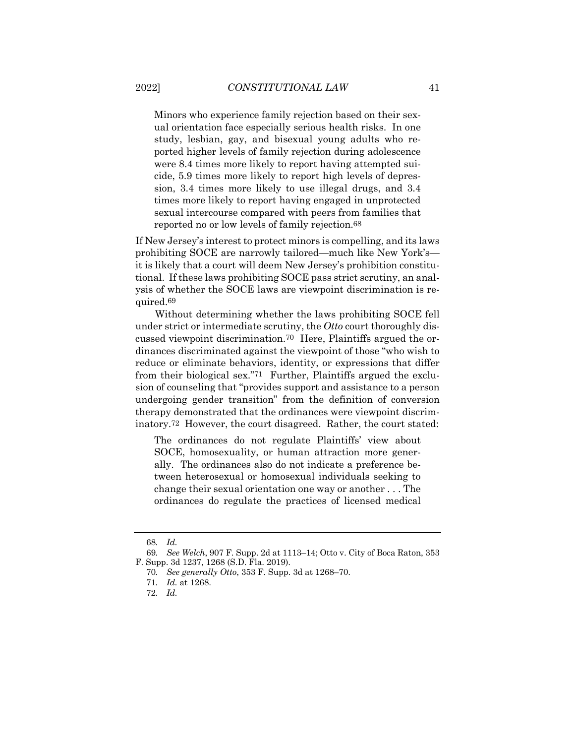Minors who experience family rejection based on their sexual orientation face especially serious health risks. In one study, lesbian, gay, and bisexual young adults who reported higher levels of family rejection during adolescence were 8.4 times more likely to report having attempted suicide, 5.9 times more likely to report high levels of depression, 3.4 times more likely to use illegal drugs, and 3.4 times more likely to report having engaged in unprotected sexual intercourse compared with peers from families that reported no or low levels of family rejection.68

If New Jersey's interest to protect minors is compelling, and its laws prohibiting SOCE are narrowly tailored—much like New York's it is likely that a court will deem New Jersey's prohibition constitutional. If these laws prohibiting SOCE pass strict scrutiny, an analysis of whether the SOCE laws are viewpoint discrimination is required.69

Without determining whether the laws prohibiting SOCE fell under strict or intermediate scrutiny, the *Otto* court thoroughly discussed viewpoint discrimination.70 Here, Plaintiffs argued the ordinances discriminated against the viewpoint of those "who wish to reduce or eliminate behaviors, identity, or expressions that differ from their biological sex."71 Further, Plaintiffs argued the exclusion of counseling that "provides support and assistance to a person undergoing gender transition" from the definition of conversion therapy demonstrated that the ordinances were viewpoint discriminatory.72 However, the court disagreed. Rather, the court stated:

The ordinances do not regulate Plaintiffs' view about SOCE, homosexuality, or human attraction more generally. The ordinances also do not indicate a preference between heterosexual or homosexual individuals seeking to change their sexual orientation one way or another . . . The ordinances do regulate the practices of licensed medical

<sup>68</sup>*. Id.*

<sup>69</sup>*. See Welch*, 907 F. Supp. 2d at 1113–14; Otto v. City of Boca Raton, 353 F. Supp. 3d 1237, 1268 (S.D. Fla. 2019).

<sup>70</sup>*. See generally Otto*, 353 F. Supp. 3d at 1268–70.

<sup>71</sup>*. Id.* at 1268.

<sup>72</sup>*. Id.*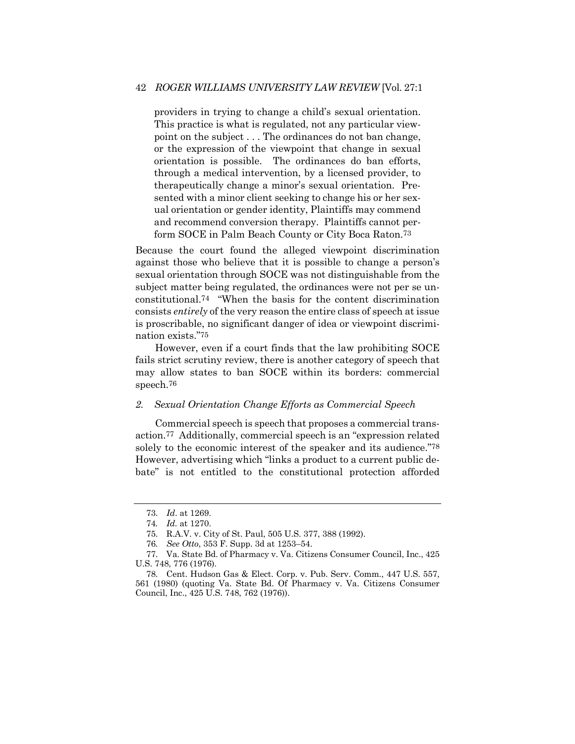## 42 *ROGER WILLIAMS UNIVERSITY LAW REVIEW* [Vol. 27:1

providers in trying to change a child's sexual orientation. This practice is what is regulated, not any particular viewpoint on the subject . . . The ordinances do not ban change, or the expression of the viewpoint that change in sexual orientation is possible. The ordinances do ban efforts, through a medical intervention, by a licensed provider, to therapeutically change a minor's sexual orientation. Presented with a minor client seeking to change his or her sexual orientation or gender identity, Plaintiffs may commend and recommend conversion therapy. Plaintiffs cannot perform SOCE in Palm Beach County or City Boca Raton.73

Because the court found the alleged viewpoint discrimination against those who believe that it is possible to change a person's sexual orientation through SOCE was not distinguishable from the subject matter being regulated, the ordinances were not per se unconstitutional.74 "When the basis for the content discrimination consists *entirely* of the very reason the entire class of speech at issue is proscribable, no significant danger of idea or viewpoint discrimination exists."75

However, even if a court finds that the law prohibiting SOCE fails strict scrutiny review, there is another category of speech that may allow states to ban SOCE within its borders: commercial speech.76

#### *2. Sexual Orientation Change Efforts as Commercial Speech*

Commercial speech is speech that proposes a commercial transaction.77 Additionally, commercial speech is an "expression related solely to the economic interest of the speaker and its audience."78 However, advertising which "links a product to a current public debate" is not entitled to the constitutional protection afforded

<sup>73.</sup> *Id*. at 1269.

<sup>74</sup>*. Id.* at 1270.

<sup>75.</sup> R.A.V. v. City of St. Paul, 505 U.S. 377, 388 (1992).

<sup>76</sup>*. See Otto*, 353 F. Supp. 3d at 1253–54.

<sup>77.</sup> Va. State Bd. of Pharmacy v. Va. Citizens Consumer Council, Inc., 425 U.S. 748, 776 (1976).

<sup>78.</sup> Cent. Hudson Gas & Elect. Corp. v. Pub. Serv. Comm., 447 U.S. 557, 561 (1980) (quoting Va. State Bd. Of Pharmacy v. Va. Citizens Consumer Council, Inc., 425 U.S. 748, 762 (1976)).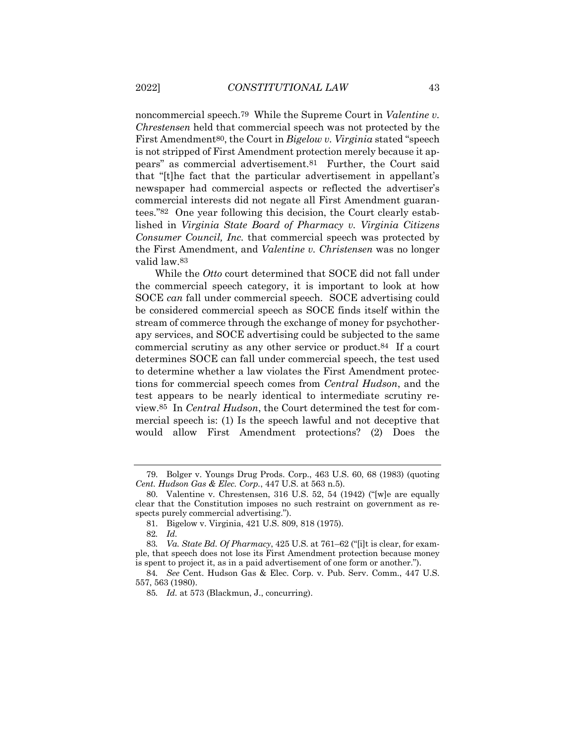noncommercial speech.79 While the Supreme Court in *Valentine v. Chrestensen* held that commercial speech was not protected by the First Amendment80, the Court in *Bigelow v. Virginia* stated "speech is not stripped of First Amendment protection merely because it appears" as commercial advertisement.81 Further, the Court said that "[t]he fact that the particular advertisement in appellant's newspaper had commercial aspects or reflected the advertiser's commercial interests did not negate all First Amendment guarantees."82 One year following this decision, the Court clearly established in *Virginia State Board of Pharmacy v. Virginia Citizens Consumer Council, Inc.* that commercial speech was protected by the First Amendment, and *Valentine v. Christensen* was no longer valid law.83

While the *Otto* court determined that SOCE did not fall under the commercial speech category, it is important to look at how SOCE *can* fall under commercial speech. SOCE advertising could be considered commercial speech as SOCE finds itself within the stream of commerce through the exchange of money for psychotherapy services, and SOCE advertising could be subjected to the same commercial scrutiny as any other service or product.84 If a court determines SOCE can fall under commercial speech, the test used to determine whether a law violates the First Amendment protections for commercial speech comes from *Central Hudson*, and the test appears to be nearly identical to intermediate scrutiny review.85 In *Central Hudson*, the Court determined the test for commercial speech is: (1) Is the speech lawful and not deceptive that would allow First Amendment protections? (2) Does the

<sup>79.</sup> Bolger v. Youngs Drug Prods. Corp., 463 U.S. 60, 68 (1983) (quoting *Cent. Hudson Gas & Elec. Corp.*, 447 U.S. at 563 n.5).

<sup>80.</sup> Valentine v. Chrestensen, 316 U.S. 52, 54 (1942) ("[w]e are equally clear that the Constitution imposes no such restraint on government as respects purely commercial advertising.").

<sup>81.</sup> Bigelow v. Virginia, 421 U.S. 809, 818 (1975).

<sup>82</sup>*. Id.*

<sup>83</sup>*. Va. State Bd. Of Pharmacy*, 425 U.S. at 761–62 ("[i]t is clear, for example, that speech does not lose its First Amendment protection because money is spent to project it, as in a paid advertisement of one form or another.").

<sup>84</sup>*. See* Cent. Hudson Gas & Elec. Corp. v. Pub. Serv. Comm., 447 U.S. 557, 563 (1980).

<sup>85</sup>*. Id.* at 573 (Blackmun, J., concurring).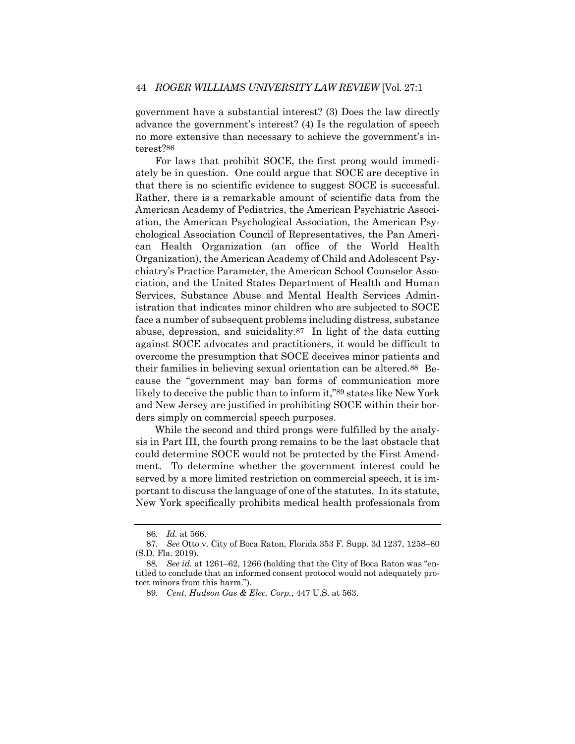government have a substantial interest? (3) Does the law directly advance the government's interest? (4) Is the regulation of speech no more extensive than necessary to achieve the government's interest?86

For laws that prohibit SOCE, the first prong would immediately be in question. One could argue that SOCE are deceptive in that there is no scientific evidence to suggest SOCE is successful. Rather, there is a remarkable amount of scientific data from the American Academy of Pediatrics, the American Psychiatric Association, the American Psychological Association, the American Psychological Association Council of Representatives, the Pan American Health Organization (an office of the World Health Organization), the American Academy of Child and Adolescent Psychiatry's Practice Parameter, the American School Counselor Association, and the United States Department of Health and Human Services, Substance Abuse and Mental Health Services Administration that indicates minor children who are subjected to SOCE face a number of subsequent problems including distress, substance abuse, depression, and suicidality.87 In light of the data cutting against SOCE advocates and practitioners, it would be difficult to overcome the presumption that SOCE deceives minor patients and their families in believing sexual orientation can be altered.88 Because the "government may ban forms of communication more likely to deceive the public than to inform it,"89 states like New York and New Jersey are justified in prohibiting SOCE within their borders simply on commercial speech purposes.

While the second and third prongs were fulfilled by the analysis in Part III, the fourth prong remains to be the last obstacle that could determine SOCE would not be protected by the First Amendment. To determine whether the government interest could be served by a more limited restriction on commercial speech, it is important to discuss the language of one of the statutes. In its statute, New York specifically prohibits medical health professionals from

<sup>86</sup>*. Id.* at 566.

<sup>87</sup>*. See* Otto v. City of Boca Raton, Florida 353 F. Supp. 3d 1237, 1258–60 (S.D. Fla. 2019).

<sup>88</sup>*. See id.* at 1261–62, 1266 (holding that the City of Boca Raton was "entitled to conclude that an informed consent protocol would not adequately protect minors from this harm.").

<sup>89</sup>*. Cent. Hudson Gas & Elec. Corp.*, 447 U.S. at 563.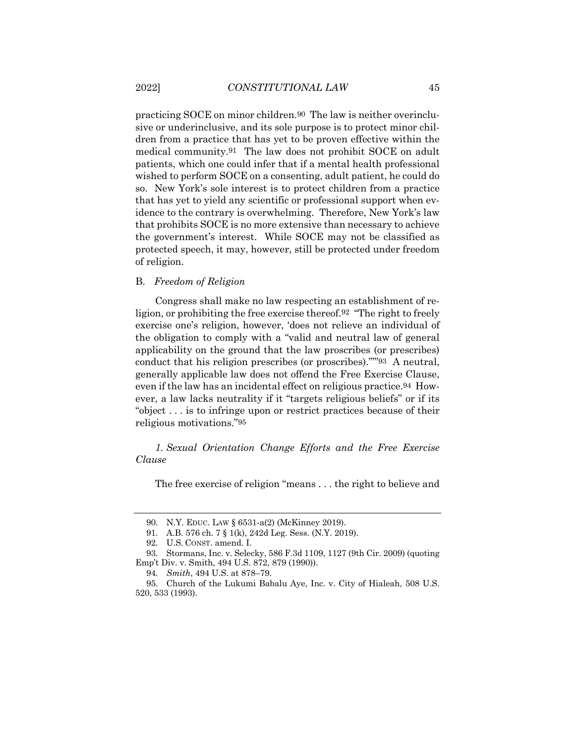practicing SOCE on minor children.90 The law is neither overinclusive or underinclusive, and its sole purpose is to protect minor children from a practice that has yet to be proven effective within the medical community.91 The law does not prohibit SOCE on adult patients, which one could infer that if a mental health professional wished to perform SOCE on a consenting, adult patient, he could do so. New York's sole interest is to protect children from a practice that has yet to yield any scientific or professional support when evidence to the contrary is overwhelming. Therefore, New York's law that prohibits SOCE is no more extensive than necessary to achieve the government's interest. While SOCE may not be classified as protected speech, it may, however, still be protected under freedom of religion.

#### B. *Freedom of Religion*

Congress shall make no law respecting an establishment of religion, or prohibiting the free exercise thereof.92 "The right to freely exercise one's religion, however, 'does not relieve an individual of the obligation to comply with a "valid and neutral law of general applicability on the ground that the law proscribes (or prescribes) conduct that his religion prescribes (or proscribes)."'"93 A neutral, generally applicable law does not offend the Free Exercise Clause, even if the law has an incidental effect on religious practice.94 However, a law lacks neutrality if it "targets religious beliefs" or if its "object . . . is to infringe upon or restrict practices because of their religious motivations."95

*1. Sexual Orientation Change Efforts and the Free Exercise Clause*

The free exercise of religion "means . . . the right to believe and

<sup>90.</sup> N.Y. EDUC. LAW § 6531-a(2) (McKinney 2019).

<sup>91.</sup> A.B. 576 ch. 7 § 1(k), 242d Leg. Sess. (N.Y. 2019).

<sup>92.</sup> U.S. CONST. amend. I.

<sup>93.</sup> Stormans, Inc. v. Selecky, 586 F.3d 1109, 1127 (9th Cir. 2009) (quoting Emp't Div. v. Smith, 494 U.S. 872, 879 (1990)).

<sup>94</sup>*. Smith*, 494 U.S. at 878–79.

<sup>95.</sup> Church of the Lukumi Babalu Aye, Inc. v. City of Hialeah, 508 U.S. 520, 533 (1993).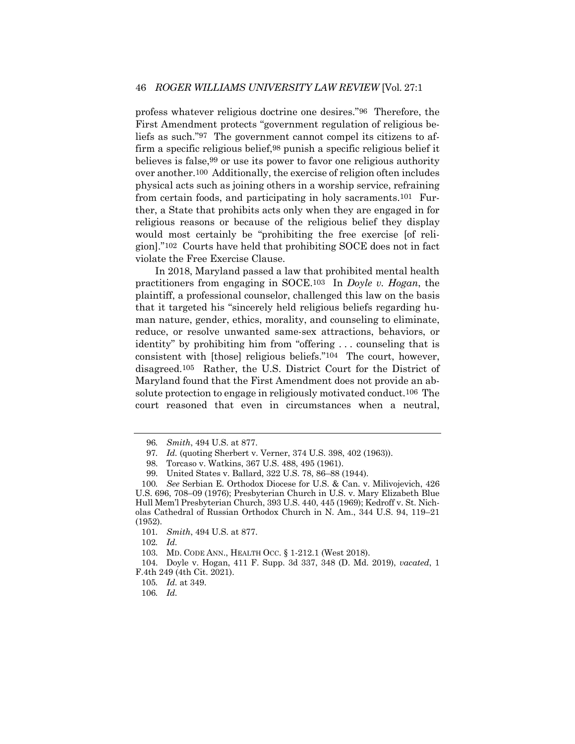profess whatever religious doctrine one desires."96 Therefore, the First Amendment protects "government regulation of religious beliefs as such."97 The government cannot compel its citizens to affirm a specific religious belief,98 punish a specific religious belief it believes is false,99 or use its power to favor one religious authority over another.100 Additionally, the exercise of religion often includes physical acts such as joining others in a worship service, refraining from certain foods, and participating in holy sacraments.101 Further, a State that prohibits acts only when they are engaged in for religious reasons or because of the religious belief they display would most certainly be "prohibiting the free exercise [of religion]."102 Courts have held that prohibiting SOCE does not in fact violate the Free Exercise Clause.

In 2018, Maryland passed a law that prohibited mental health practitioners from engaging in SOCE.103 In *Doyle v. Hogan*, the plaintiff, a professional counselor, challenged this law on the basis that it targeted his "sincerely held religious beliefs regarding human nature, gender, ethics, morality, and counseling to eliminate, reduce, or resolve unwanted same-sex attractions, behaviors, or identity" by prohibiting him from "offering . . . counseling that is consistent with [those] religious beliefs."104 The court, however, disagreed.105 Rather, the U.S. District Court for the District of Maryland found that the First Amendment does not provide an absolute protection to engage in religiously motivated conduct.106 The court reasoned that even in circumstances when a neutral,

102*. Id.*

106*. Id.*

<sup>96</sup>*. Smith*, 494 U.S. at 877.

<sup>97</sup>*. Id.* (quoting Sherbert v. Verner, 374 U.S. 398, 402 (1963)).

<sup>98.</sup> Torcaso v. Watkins, 367 U.S. 488, 495 (1961).

<sup>99.</sup> United States v. Ballard, 322 U.S. 78, 86–88 (1944).

<sup>100</sup>*. See* Serbian E. Orthodox Diocese for U.S. & Can. v. Milivojevich, 426 U.S. 696, 708–09 (1976); Presbyterian Church in U.S. v. Mary Elizabeth Blue Hull Mem'l Presbyterian Church, 393 U.S. 440, 445 (1969); Kedroff v. St. Nicholas Cathedral of Russian Orthodox Church in N. Am., 344 U.S. 94, 119–21 (1952).

<sup>101</sup>*. Smith*, 494 U.S. at 877.

<sup>103.</sup> MD. CODE ANN., HEALTH OCC. § 1-212.1 (West 2018).

<sup>104.</sup> Doyle v. Hogan, 411 F. Supp. 3d 337, 348 (D. Md. 2019), *vacated*, 1 F.4th 249 (4th Cit. 2021).

<sup>105</sup>*. Id.* at 349.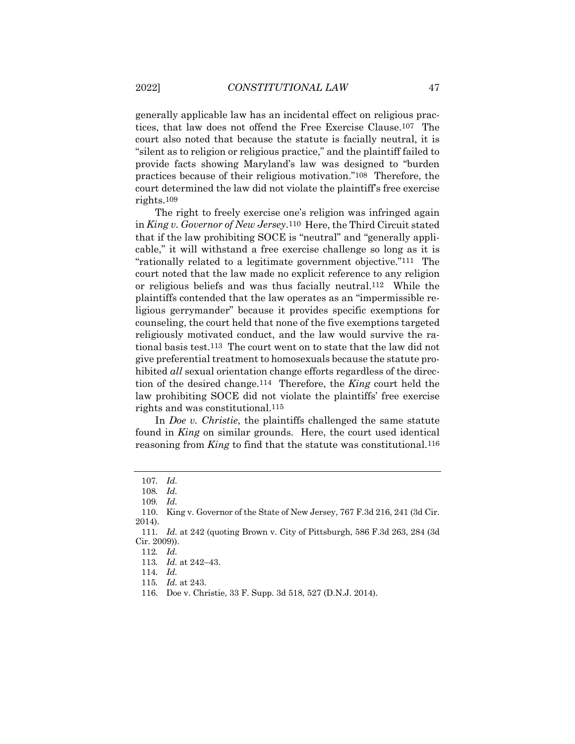generally applicable law has an incidental effect on religious practices, that law does not offend the Free Exercise Clause.107 The court also noted that because the statute is facially neutral, it is "silent as to religion or religious practice," and the plaintiff failed to provide facts showing Maryland's law was designed to "burden practices because of their religious motivation."108 Therefore, the court determined the law did not violate the plaintiff's free exercise rights.109

The right to freely exercise one's religion was infringed again in *King v. Governor of New Jersey*.110 Here, the Third Circuit stated that if the law prohibiting SOCE is "neutral" and "generally applicable," it will withstand a free exercise challenge so long as it is "rationally related to a legitimate government objective."111 The court noted that the law made no explicit reference to any religion or religious beliefs and was thus facially neutral.112 While the plaintiffs contended that the law operates as an "impermissible religious gerrymander" because it provides specific exemptions for counseling, the court held that none of the five exemptions targeted religiously motivated conduct, and the law would survive the rational basis test.113 The court went on to state that the law did not give preferential treatment to homosexuals because the statute prohibited *all* sexual orientation change efforts regardless of the direction of the desired change.114 Therefore, the *King* court held the law prohibiting SOCE did not violate the plaintiffs' free exercise rights and was constitutional.115

In *Doe v. Christie*, the plaintiffs challenged the same statute found in *King* on similar grounds. Here, the court used identical reasoning from *King* to find that the statute was constitutional.116

112*. Id.*

<sup>107</sup>*. Id.*

<sup>108</sup>*. Id.*

<sup>109</sup>*. Id.*

<sup>110.</sup> King v. Governor of the State of New Jersey, 767 F.3d 216, 241 (3d Cir. 2014).

<sup>111</sup>*. Id.* at 242 (quoting Brown v. City of Pittsburgh, 586 F.3d 263, 284 (3d Cir. 2009)).

<sup>113</sup>*. Id.* at 242–43.

<sup>114</sup>*. Id.*

<sup>115</sup>*. Id.* at 243.

<sup>116.</sup> Doe v. Christie, 33 F. Supp. 3d 518, 527 (D.N.J. 2014).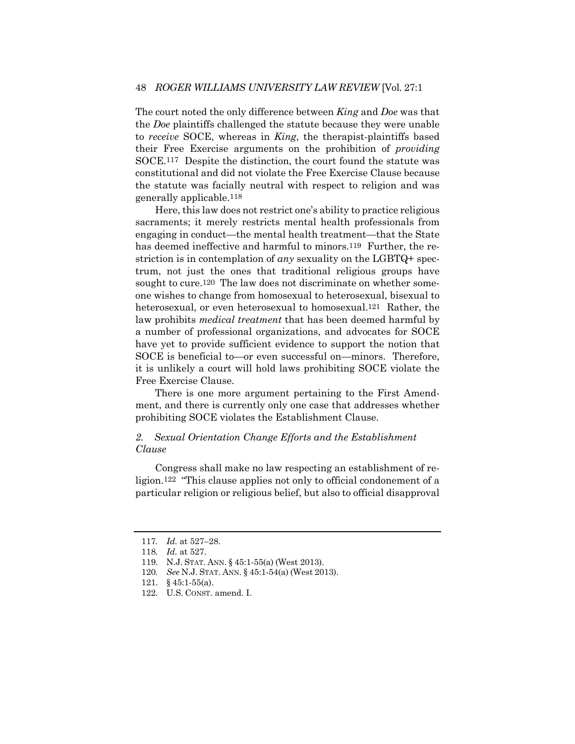The court noted the only difference between *King* and *Doe* was that the *Doe* plaintiffs challenged the statute because they were unable to *receive* SOCE, whereas in *King*, the therapist-plaintiffs based their Free Exercise arguments on the prohibition of *providing* SOCE.117 Despite the distinction, the court found the statute was constitutional and did not violate the Free Exercise Clause because the statute was facially neutral with respect to religion and was generally applicable.118

Here, this law does not restrict one's ability to practice religious sacraments; it merely restricts mental health professionals from engaging in conduct—the mental health treatment—that the State has deemed ineffective and harmful to minors.119 Further, the restriction is in contemplation of *any* sexuality on the LGBTQ+ spectrum, not just the ones that traditional religious groups have sought to cure.<sup>120</sup> The law does not discriminate on whether someone wishes to change from homosexual to heterosexual, bisexual to heterosexual, or even heterosexual to homosexual.121 Rather, the law prohibits *medical treatment* that has been deemed harmful by a number of professional organizations, and advocates for SOCE have yet to provide sufficient evidence to support the notion that SOCE is beneficial to—or even successful on—minors. Therefore, it is unlikely a court will hold laws prohibiting SOCE violate the Free Exercise Clause.

There is one more argument pertaining to the First Amendment, and there is currently only one case that addresses whether prohibiting SOCE violates the Establishment Clause.

## *2. Sexual Orientation Change Efforts and the Establishment Clause*

Congress shall make no law respecting an establishment of religion.122 "This clause applies not only to official condonement of a particular religion or religious belief, but also to official disapproval

<sup>117</sup>*. Id.* at 527–28.

<sup>118</sup>*. Id.* at 527.

<sup>119.</sup> N.J. STAT. ANN. § 45:1-55(a) (West 2013).

<sup>120</sup>*. See* N.J. STAT. ANN. § 45:1-54(a) (West 2013).

<sup>121.</sup> § 45:1-55(a).

<sup>122.</sup> U.S. CONST. amend. I.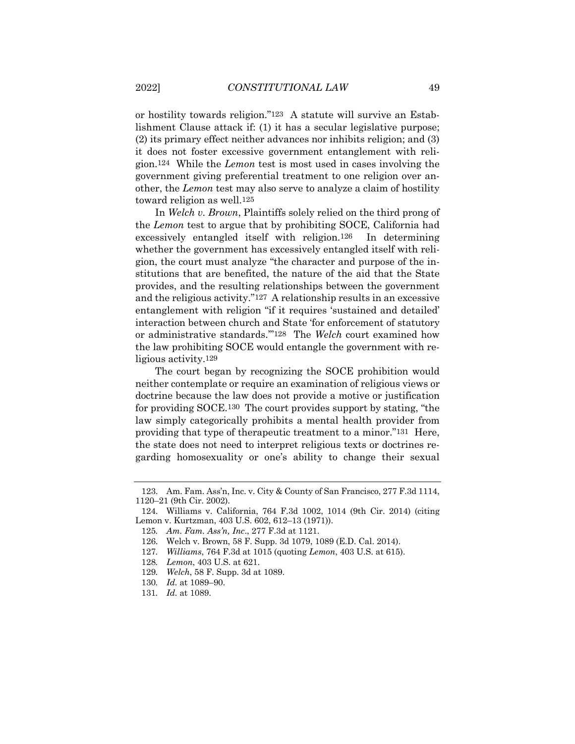or hostility towards religion."123 A statute will survive an Establishment Clause attack if: (1) it has a secular legislative purpose; (2) its primary effect neither advances nor inhibits religion; and (3) it does not foster excessive government entanglement with religion.124 While the *Lemon* test is most used in cases involving the government giving preferential treatment to one religion over another, the *Lemon* test may also serve to analyze a claim of hostility toward religion as well.125

In *Welch v. Brown*, Plaintiffs solely relied on the third prong of the *Lemon* test to argue that by prohibiting SOCE, California had excessively entangled itself with religion.126 In determining whether the government has excessively entangled itself with religion, the court must analyze "the character and purpose of the institutions that are benefited, the nature of the aid that the State provides, and the resulting relationships between the government and the religious activity."127 A relationship results in an excessive entanglement with religion "if it requires 'sustained and detailed' interaction between church and State 'for enforcement of statutory or administrative standards.'"128 The *Welch* court examined how the law prohibiting SOCE would entangle the government with religious activity.129

The court began by recognizing the SOCE prohibition would neither contemplate or require an examination of religious views or doctrine because the law does not provide a motive or justification for providing SOCE.130 The court provides support by stating, "the law simply categorically prohibits a mental health provider from providing that type of therapeutic treatment to a minor."131 Here, the state does not need to interpret religious texts or doctrines regarding homosexuality or one's ability to change their sexual

129*. Welch*, 58 F. Supp. 3d at 1089.

<sup>123.</sup> Am. Fam. Ass'n, Inc. v. City & County of San Francisco, 277 F.3d 1114, 1120–21 (9th Cir. 2002).

<sup>124.</sup> Williams v. California, 764 F.3d 1002, 1014 (9th Cir. 2014) (citing Lemon v. Kurtzman, 403 U.S. 602, 612–13 (1971)).

<sup>125</sup>*. Am. Fam. Ass'n, Inc*., 277 F.3d at 1121.

<sup>126.</sup> Welch v. Brown, 58 F. Supp. 3d 1079, 1089 (E.D. Cal. 2014).

<sup>127</sup>*. Williams*, 764 F.3d at 1015 (quoting *Lemon*, 403 U.S. at 615).

<sup>128</sup>*. Lemon*, 403 U.S. at 621.

<sup>130</sup>*. Id.* at 1089–90.

<sup>131</sup>*. Id.* at 1089.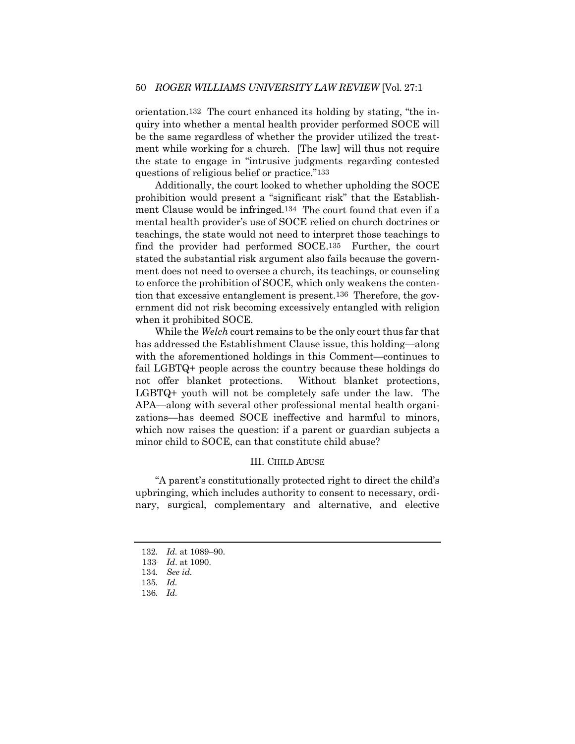orientation.132 The court enhanced its holding by stating, "the inquiry into whether a mental health provider performed SOCE will be the same regardless of whether the provider utilized the treatment while working for a church. [The law] will thus not require the state to engage in "intrusive judgments regarding contested questions of religious belief or practice."133

Additionally, the court looked to whether upholding the SOCE prohibition would present a "significant risk" that the Establishment Clause would be infringed.134 The court found that even if a mental health provider's use of SOCE relied on church doctrines or teachings, the state would not need to interpret those teachings to find the provider had performed SOCE.135 Further, the court stated the substantial risk argument also fails because the government does not need to oversee a church, its teachings, or counseling to enforce the prohibition of SOCE, which only weakens the contention that excessive entanglement is present.136 Therefore, the government did not risk becoming excessively entangled with religion when it prohibited SOCE.

While the *Welch* court remains to be the only court thus far that has addressed the Establishment Clause issue, this holding—along with the aforementioned holdings in this Comment—continues to fail LGBTQ+ people across the country because these holdings do not offer blanket protections. Without blanket protections, LGBTQ+ youth will not be completely safe under the law. The APA—along with several other professional mental health organizations—has deemed SOCE ineffective and harmful to minors, which now raises the question: if a parent or guardian subjects a minor child to SOCE, can that constitute child abuse?

## III. CHILD ABUSE

"A parent's constitutionally protected right to direct the child's upbringing, which includes authority to consent to necessary, ordinary, surgical, complementary and alternative, and elective

<sup>132</sup>*. Id.* at 1089–90.

<sup>133.</sup> *Id*. at 1090.

<sup>134</sup>*. See id.*

<sup>135</sup>*. Id.*

<sup>136</sup>*. Id.*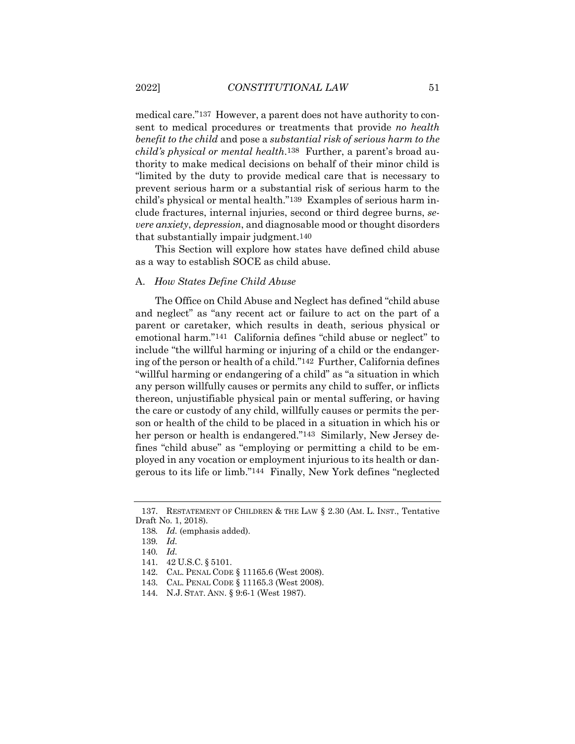medical care."137 However, a parent does not have authority to consent to medical procedures or treatments that provide *no health benefit to the child* and pose a *substantial risk of serious harm to the child's physical or mental health*.138 Further, a parent's broad authority to make medical decisions on behalf of their minor child is "limited by the duty to provide medical care that is necessary to prevent serious harm or a substantial risk of serious harm to the child's physical or mental health."139 Examples of serious harm include fractures, internal injuries, second or third degree burns, *severe anxiety*, *depression*, and diagnosable mood or thought disorders that substantially impair judgment.140

This Section will explore how states have defined child abuse as a way to establish SOCE as child abuse.

## A. *How States Define Child Abuse*

The Office on Child Abuse and Neglect has defined "child abuse and neglect" as "any recent act or failure to act on the part of a parent or caretaker, which results in death, serious physical or emotional harm."141 California defines "child abuse or neglect" to include "the willful harming or injuring of a child or the endangering of the person or health of a child."142 Further, California defines "willful harming or endangering of a child" as "a situation in which any person willfully causes or permits any child to suffer, or inflicts thereon, unjustifiable physical pain or mental suffering, or having the care or custody of any child, willfully causes or permits the person or health of the child to be placed in a situation in which his or her person or health is endangered."<sup>143</sup> Similarly, New Jersey defines "child abuse" as "employing or permitting a child to be employed in any vocation or employment injurious to its health or dangerous to its life or limb."144 Finally, New York defines "neglected

<sup>137.</sup> RESTATEMENT OF CHILDREN & THE LAW § 2.30 (AM. L. INST., Tentative Draft No. 1, 2018).

<sup>138</sup>*. Id.* (emphasis added).

<sup>139</sup>*. Id.*

<sup>140</sup>*. Id.*

<sup>141.</sup> 42 U.S.C. § 5101.

<sup>142.</sup> CAL. PENAL CODE § 11165.6 (West 2008).

<sup>143.</sup> CAL. PENAL CODE § 11165.3 (West 2008).

<sup>144.</sup> N.J. STAT. ANN. § 9:6-1 (West 1987).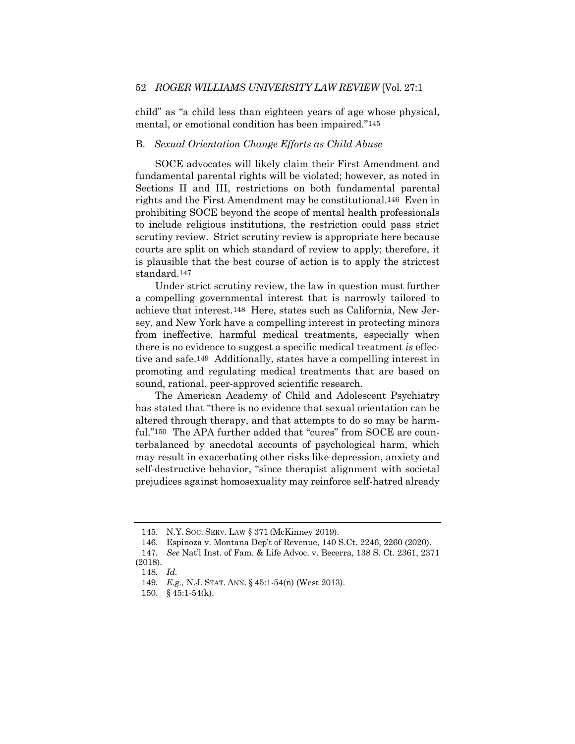child" as "a child less than eighteen years of age whose physical, mental, or emotional condition has been impaired."145

## B. *Sexual Orientation Change Efforts as Child Abuse*

SOCE advocates will likely claim their First Amendment and fundamental parental rights will be violated; however, as noted in Sections II and III, restrictions on both fundamental parental rights and the First Amendment may be constitutional.146 Even in prohibiting SOCE beyond the scope of mental health professionals to include religious institutions, the restriction could pass strict scrutiny review. Strict scrutiny review is appropriate here because courts are split on which standard of review to apply; therefore, it is plausible that the best course of action is to apply the strictest standard.147

Under strict scrutiny review, the law in question must further a compelling governmental interest that is narrowly tailored to achieve that interest.148 Here, states such as California, New Jersey, and New York have a compelling interest in protecting minors from ineffective, harmful medical treatments, especially when there is no evidence to suggest a specific medical treatment *is* effective and safe.149 Additionally, states have a compelling interest in promoting and regulating medical treatments that are based on sound, rational, peer-approved scientific research.

The American Academy of Child and Adolescent Psychiatry has stated that "there is no evidence that sexual orientation can be altered through therapy, and that attempts to do so may be harmful."<sup>150</sup> The APA further added that "cures" from SOCE are counterbalanced by anecdotal accounts of psychological harm, which may result in exacerbating other risks like depression, anxiety and self-destructive behavior, "since therapist alignment with societal prejudices against homosexuality may reinforce self-hatred already

<sup>145.</sup> N.Y. SOC. SERV. LAW § 371 (McKinney 2019).

<sup>146.</sup> Espinoza v. Montana Dep't of Revenue, 140 S.Ct. 2246, 2260 (2020).

<sup>147</sup>*. See* Nat'l Inst. of Fam. & Life Advoc. v. Becerra, 138 S. Ct. 2361, 2371 (2018).

<sup>148</sup>*. Id.*

<sup>149</sup>*. E.g.,* N.J. STAT. ANN. § 45:1-54(n) (West 2013).

<sup>150.</sup> § 45:1-54(k).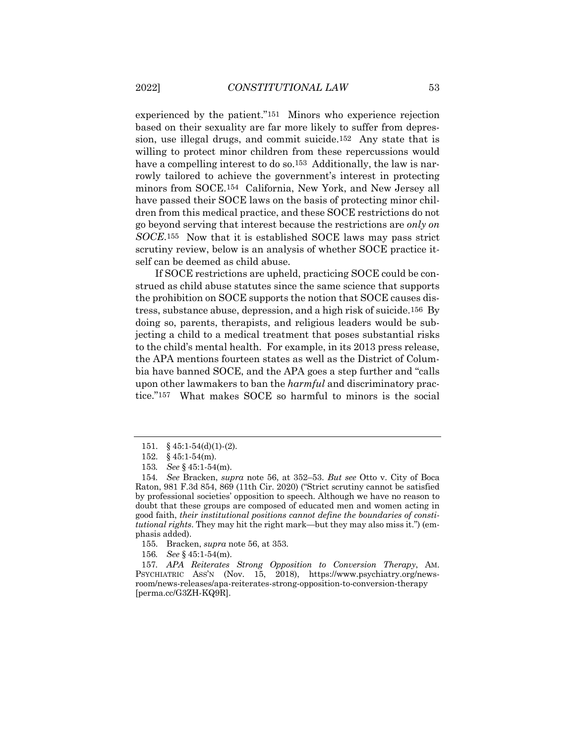experienced by the patient."151 Minors who experience rejection based on their sexuality are far more likely to suffer from depression, use illegal drugs, and commit suicide.152 Any state that is willing to protect minor children from these repercussions would have a compelling interest to do so.<sup>153</sup> Additionally, the law is narrowly tailored to achieve the government's interest in protecting minors from SOCE.154 California, New York, and New Jersey all have passed their SOCE laws on the basis of protecting minor children from this medical practice, and these SOCE restrictions do not go beyond serving that interest because the restrictions are *only on SOCE*.155 Now that it is established SOCE laws may pass strict scrutiny review, below is an analysis of whether SOCE practice itself can be deemed as child abuse.

If SOCE restrictions are upheld, practicing SOCE could be construed as child abuse statutes since the same science that supports the prohibition on SOCE supports the notion that SOCE causes distress, substance abuse, depression, and a high risk of suicide.156 By doing so, parents, therapists, and religious leaders would be subjecting a child to a medical treatment that poses substantial risks to the child's mental health. For example, in its 2013 press release, the APA mentions fourteen states as well as the District of Columbia have banned SOCE, and the APA goes a step further and "calls upon other lawmakers to ban the *harmful* and discriminatory practice."157 What makes SOCE so harmful to minors is the social

<sup>151.</sup>  $§$  45:1-54(d)(1)-(2).

<sup>152.</sup> § 45:1-54(m).

<sup>153</sup>*. See* § 45:1-54(m).

<sup>154</sup>*. See* Bracken, *supra* note 56, at 352–53. *But see* Otto v. City of Boca Raton, 981 F.3d 854, 869 (11th Cir. 2020) ("Strict scrutiny cannot be satisfied by professional societies' opposition to speech. Although we have no reason to doubt that these groups are composed of educated men and women acting in good faith, *their institutional positions cannot define the boundaries of constitutional rights*. They may hit the right mark—but they may also miss it.") (emphasis added).

<sup>155.</sup> Bracken, *supra* note 56, at 353.

<sup>156</sup>*. See* § 45:1-54(m).

<sup>157</sup>*. APA Reiterates Strong Opposition to Conversion Therapy*, AM. PSYCHIATRIC ASS'N (Nov. 15, 2018), https://www.psychiatry.org/newsroom/news-releases/apa-reiterates-strong-opposition-to-conversion-therapy [perma.cc/G3ZH-KQ9R].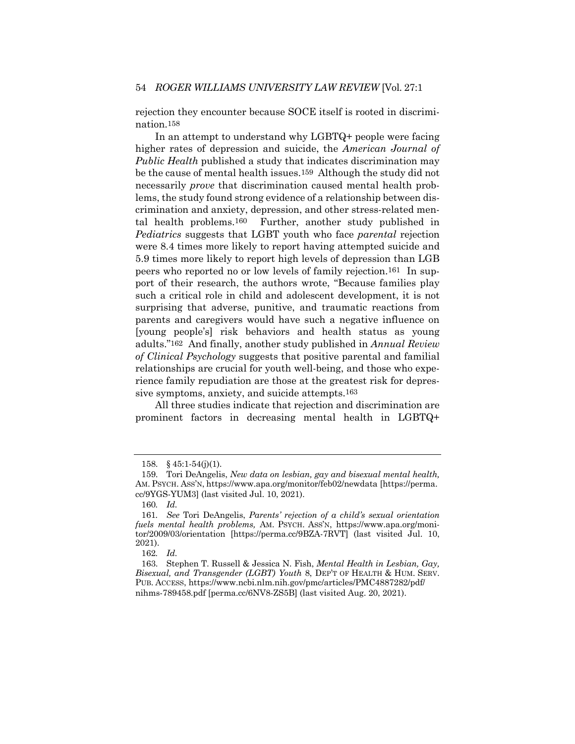rejection they encounter because SOCE itself is rooted in discrimination.158

In an attempt to understand why LGBTQ+ people were facing higher rates of depression and suicide, the *American Journal of Public Health* published a study that indicates discrimination may be the cause of mental health issues.159 Although the study did not necessarily *prove* that discrimination caused mental health problems, the study found strong evidence of a relationship between discrimination and anxiety, depression, and other stress-related mental health problems.160 Further, another study published in *Pediatrics* suggests that LGBT youth who face *parental* rejection were 8.4 times more likely to report having attempted suicide and 5.9 times more likely to report high levels of depression than LGB peers who reported no or low levels of family rejection.161 In support of their research, the authors wrote, "Because families play such a critical role in child and adolescent development, it is not surprising that adverse, punitive, and traumatic reactions from parents and caregivers would have such a negative influence on [young people's] risk behaviors and health status as young adults."162 And finally, another study published in *Annual Review of Clinical Psychology* suggests that positive parental and familial relationships are crucial for youth well-being, and those who experience family repudiation are those at the greatest risk for depressive symptoms, anxiety, and suicide attempts.163

All three studies indicate that rejection and discrimination are prominent factors in decreasing mental health in LGBTQ+

<sup>158.</sup> § 45:1-54(j)(1).

<sup>159.</sup> Tori DeAngelis, *New data on lesbian, gay and bisexual mental health,* AM. PSYCH. ASS'N, https://www.apa.org/monitor/feb02/newdata [https://perma. cc/9YGS-YUM3] (last visited Jul. 10, 2021).

<sup>160</sup>*. Id.*

<sup>161</sup>*. See* Tori DeAngelis, *Parents' rejection of a child's sexual orientation fuels mental health problems,* AM. PSYCH. ASS'N, https://www.apa.org/monitor/2009/03/orientation [https://perma.cc/9BZA-7RVT] (last visited Jul. 10, 2021).

<sup>162</sup>*. Id.*

<sup>163.</sup> Stephen T. Russell & Jessica N. Fish, *Mental Health in Lesbian, Gay, Bisexual, and Transgender (LGBT) Youth* 8, DEP'T OF HEALTH & HUM. SERV. PUB. ACCESS, https://www.ncbi.nlm.nih.gov/pmc/articles/PMC4887282/pdf/ nihms-789458.pdf [perma.cc/6NV8-ZS5B] (last visited Aug. 20, 2021).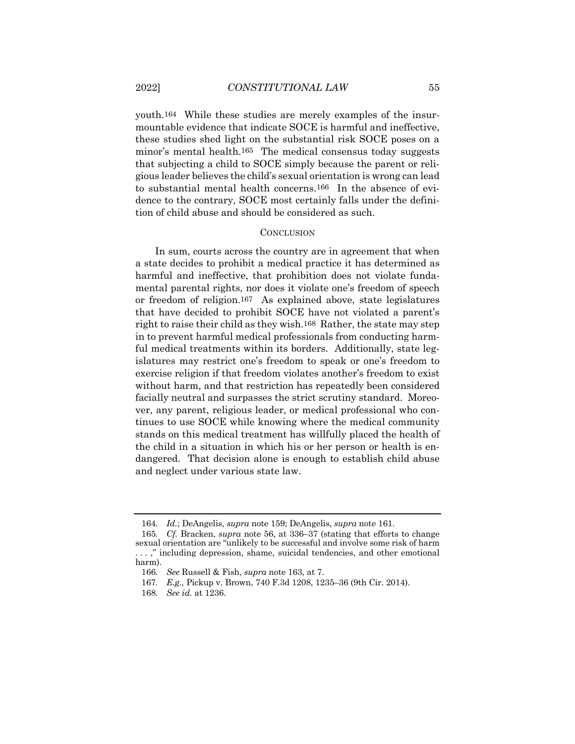youth.164 While these studies are merely examples of the insurmountable evidence that indicate SOCE is harmful and ineffective, these studies shed light on the substantial risk SOCE poses on a minor's mental health.165 The medical consensus today suggests that subjecting a child to SOCE simply because the parent or religious leader believes the child's sexual orientation is wrong can lead to substantial mental health concerns.166 In the absence of evidence to the contrary, SOCE most certainly falls under the definition of child abuse and should be considered as such.

#### **CONCLUSION**

In sum, courts across the country are in agreement that when a state decides to prohibit a medical practice it has determined as harmful and ineffective, that prohibition does not violate fundamental parental rights, nor does it violate one's freedom of speech or freedom of religion.167 As explained above, state legislatures that have decided to prohibit SOCE have not violated a parent's right to raise their child as they wish.168 Rather, the state may step in to prevent harmful medical professionals from conducting harmful medical treatments within its borders. Additionally, state legislatures may restrict one's freedom to speak or one's freedom to exercise religion if that freedom violates another's freedom to exist without harm, and that restriction has repeatedly been considered facially neutral and surpasses the strict scrutiny standard. Moreover, any parent, religious leader, or medical professional who continues to use SOCE while knowing where the medical community stands on this medical treatment has willfully placed the health of the child in a situation in which his or her person or health is endangered. That decision alone is enough to establish child abuse and neglect under various state law.

<sup>164</sup>*. Id.*; DeAngelis, *supra* note 159; DeAngelis, *supra* note 161.

<sup>165</sup>*. Cf.* Bracken, *supra* note 56, at 336–37 (stating that efforts to change sexual orientation are "unlikely to be successful and involve some risk of harm . . . ," including depression, shame, suicidal tendencies, and other emotional harm).

<sup>166</sup>*. See* Russell & Fish, *supra* note 163, at 7.

<sup>167</sup>*. E.g.,* Pickup v. Brown, 740 F.3d 1208, 1235–36 (9th Cir. 2014).

<sup>168</sup>*. See id.* at 1236.